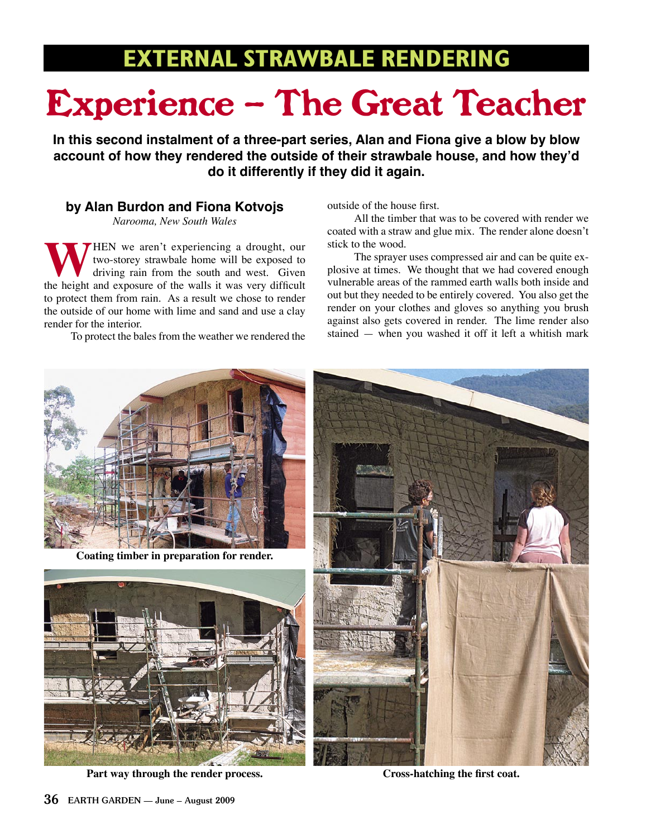# **EXTERNAL STRAWBALE RENDERING**

# Experience – The Great Teacher

**In this second instalment of a three-part series, Alan and Fiona give a blow by blow account of how they rendered the outside of their strawbale house, and how they'd do it differently if they did it again.**

## **by Alan Burdon and Fiona Kotvojs**

*Narooma, New South Wales*

HEN we aren't experiencing a drought, our two-storey strawbale home will be exposed to driving rain from the south and west. Given the height and exposure of the walls it was very difficult to protect them from rain. As a result we chose to render the outside of our home with lime and sand and use a clay render for the interior.

To protect the bales from the weather we rendered the

#### outside of the house first.

 All the timber that was to be covered with render we coated with a straw and glue mix. The render alone doesn't stick to the wood.

 The sprayer uses compressed air and can be quite explosive at times. We thought that we had covered enough vulnerable areas of the rammed earth walls both inside and out but they needed to be entirely covered. You also get the render on your clothes and gloves so anything you brush against also gets covered in render. The lime render also stained — when you washed it off it left a whitish mark



**Part way through the render process.**

**Cross-hatching the first coat.**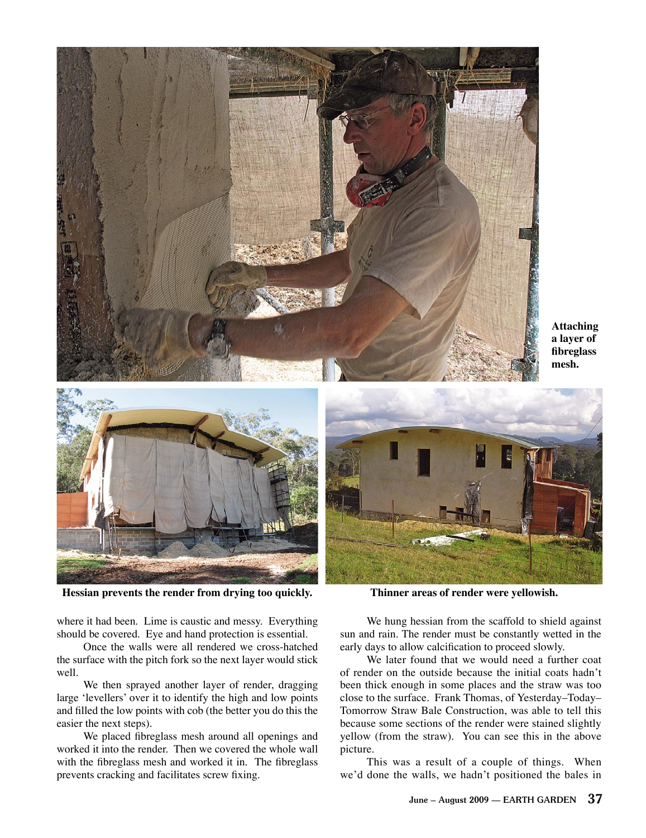

**Hessian prevents the render from drying too quickly. Thinner areas of render were yellowish.**

where it had been. Lime is caustic and messy. Everything should be covered. Eye and hand protection is essential.

 Once the walls were all rendered we cross-hatched the surface with the pitch fork so the next layer would stick well.

 We then sprayed another layer of render, dragging large 'levellers' over it to identify the high and low points and filled the low points with cob (the better you do this the easier the next steps).

 We placed fibreglass mesh around all openings and worked it into the render. Then we covered the whole wall with the fibreglass mesh and worked it in. The fibreglass prevents cracking and facilitates screw fixing.

 We hung hessian from the scaffold to shield against sun and rain. The render must be constantly wetted in the early days to allow calcification to proceed slowly.

 We later found that we would need a further coat of render on the outside because the initial coats hadn't been thick enough in some places and the straw was too close to the surface. Frank Thomas, of Yesterday–Today– Tomorrow Straw Bale Construction, was able to tell this because some sections of the render were stained slightly yellow (from the straw). You can see this in the above picture.

 This was a result of a couple of things. When we'd done the walls, we hadn't positioned the bales in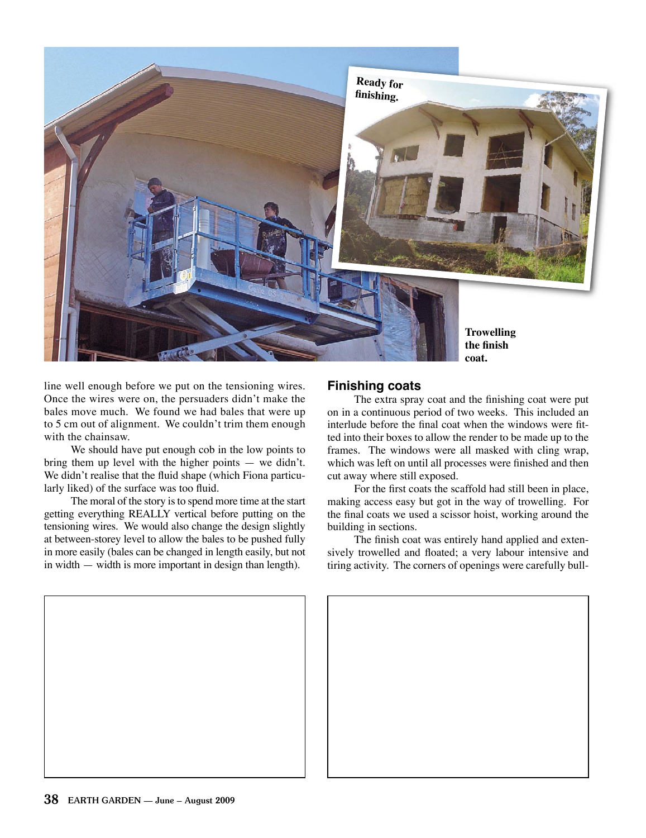

line well enough before we put on the tensioning wires. Once the wires were on, the persuaders didn't make the bales move much. We found we had bales that were up to 5 cm out of alignment. We couldn't trim them enough with the chainsaw.

 We should have put enough cob in the low points to bring them up level with the higher points — we didn't. We didn't realise that the fluid shape (which Fiona particularly liked) of the surface was too fluid.

 The moral of the story is to spend more time at the start getting everything REALLY vertical before putting on the tensioning wires. We would also change the design slightly at between-storey level to allow the bales to be pushed fully in more easily (bales can be changed in length easily, but not in width — width is more important in design than length).

### **Finishing coats**

 The extra spray coat and the finishing coat were put on in a continuous period of two weeks. This included an interlude before the final coat when the windows were fitted into their boxes to allow the render to be made up to the frames. The windows were all masked with cling wrap, which was left on until all processes were finished and then cut away where still exposed.

 For the first coats the scaffold had still been in place, making access easy but got in the way of trowelling. For the final coats we used a scissor hoist, working around the building in sections.

 The finish coat was entirely hand applied and extensively trowelled and floated; a very labour intensive and tiring activity. The corners of openings were carefully bull-